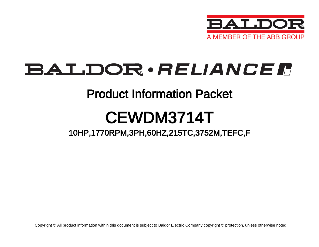

## **BALDOR**·RELIANCER

### Product Information Packet

# CEWDM3714T

### 10HP,1770RPM,3PH,60HZ,215TC,3752M,TEFC,F

Copyright © All product information within this document is subject to Baldor Electric Company copyright © protection, unless otherwise noted.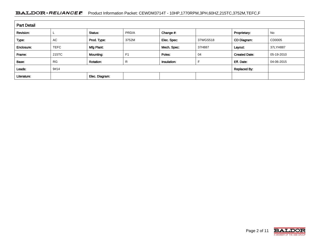#### BALDOR · RELIANCE F Product Information Packet: CEWDM3714T - 10HP,1770RPM,3PH,60HZ,215TC,3752M,TEFC,F

| <b>Part Detail</b> |             |                  |                |             |          |                      |            |  |  |  |
|--------------------|-------------|------------------|----------------|-------------|----------|----------------------|------------|--|--|--|
| Revision:          |             | Status:          | PRD/A          | Change #:   |          | Proprietary:         | No         |  |  |  |
| Type:              | <b>AC</b>   | Prod. Type:      | 3752M          | Elec. Spec: | 37WGS518 | CD Diagram:          | CD0005     |  |  |  |
| Enclosure:         | <b>TEFC</b> | Mfg Plant:       |                | Mech. Spec: | 37H887   | Layout:              | 37LYH887   |  |  |  |
| Frame:             | 215TC       | Mounting:        | F <sub>1</sub> | Poles:      | 04       | <b>Created Date:</b> | 05-19-2010 |  |  |  |
| Base:              | <b>RG</b>   | <b>Rotation:</b> | R              | Insulation: |          | Eff. Date:           | 04-06-2015 |  |  |  |
| Leads:             | 9#14        |                  |                |             |          | <b>Replaced By:</b>  |            |  |  |  |
| Literature:        |             | Elec. Diagram:   |                |             |          |                      |            |  |  |  |

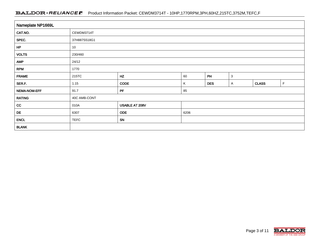#### BALDOR · RELIANCE F Product Information Packet: CEWDM3714T - 10HP,1770RPM,3PH,60HZ,215TC,3752M,TEFC,F

| Nameplate NP1669L |              |                |      |            |   |              |             |  |  |  |  |  |
|-------------------|--------------|----------------|------|------------|---|--------------|-------------|--|--|--|--|--|
| CAT.NO.           | CEWDM3714T   |                |      |            |   |              |             |  |  |  |  |  |
| SPEC.             | 37H887S518G1 |                |      |            |   |              |             |  |  |  |  |  |
| HP                | 10           |                |      |            |   |              |             |  |  |  |  |  |
| <b>VOLTS</b>      | 230/460      |                |      |            |   |              |             |  |  |  |  |  |
| <b>AMP</b>        | 24/12        |                |      |            |   |              |             |  |  |  |  |  |
| <b>RPM</b>        | 1770         |                |      |            |   |              |             |  |  |  |  |  |
| <b>FRAME</b>      | 215TC        | HZ             | 60   | PH         | 3 |              |             |  |  |  |  |  |
| SER.F.            | 1.15         | <b>CODE</b>    | Κ    | <b>DES</b> | Α | <b>CLASS</b> | $\mathsf F$ |  |  |  |  |  |
| NEMA-NOM-EFF      | 91.7         | PF             | 85   |            |   |              |             |  |  |  |  |  |
| <b>RATING</b>     | 40C AMB-CONT |                |      |            |   |              |             |  |  |  |  |  |
| cc                | 010A         | USABLE AT 208V |      |            |   |              |             |  |  |  |  |  |
| DE                | 6307         | <b>ODE</b>     | 6206 |            |   |              |             |  |  |  |  |  |
| <b>ENCL</b>       | <b>TEFC</b>  | SN             |      |            |   |              |             |  |  |  |  |  |
| <b>BLANK</b>      |              |                |      |            |   |              |             |  |  |  |  |  |

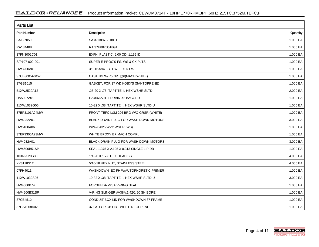| <b>Parts List</b>  |                                          |          |  |  |  |  |  |
|--------------------|------------------------------------------|----------|--|--|--|--|--|
| <b>Part Number</b> | Description                              | Quantity |  |  |  |  |  |
| SA197050           | SA 37H887S518G1                          | 1.000 EA |  |  |  |  |  |
| RA184488           | RA 37H887S518G1                          | 1.000 EA |  |  |  |  |  |
| 37FN3002C01        | EXFN, PLASTIC, 6.00 OD, 1.155 ID         | 1.000 EA |  |  |  |  |  |
| S/P107-000-001     | SUPER E PROC'S-FS, WS & CK PLTS          | 1.000 EA |  |  |  |  |  |
| HW3200A01          | 3/8-16X3/4 I-BLT WELDED F/S              | 1.000 EA |  |  |  |  |  |
| 37CB3005A04W       | CASTING W/.75 NPT@6(MACH WHITE)          | 1.000 EA |  |  |  |  |  |
| 37GS1015           | GASKET, FOR 37 WD KOBX'S (SANTOPRENE)    | 1.000 EA |  |  |  |  |  |
| 51XW2520A12        | .25-20 X .75, TAPTITE II, HEX WSHR SLTD  | 2.000 EA |  |  |  |  |  |
| HA5027A01          | HA4066A01 T-DRAIN X2 BAGGED              | 1.000 EA |  |  |  |  |  |
| 11XW1032G06        | 10-32 X .38, TAPTITE II, HEX WSHR SLTD U | 1.000 EA |  |  |  |  |  |
| 37EP3101A94MW      | FRONT TEFC L&M 206 BRG W/O GRSR (WHITE)  | 1.000 EA |  |  |  |  |  |
| HW4032A01          | BLACK DRAIN PLUG FOR WASH DOWN MOTORS    | 3.000 EA |  |  |  |  |  |
| HW5100A06          | W2420-025 WVY WSHR (WB)                  | 1.000 EA |  |  |  |  |  |
| 37EP3300A23MW      | WHITE EPOXY EP MACH COMPL                | 1.000 EA |  |  |  |  |  |
| HW4032A01          | BLACK DRAIN PLUG FOR WASH DOWN MOTORS    | 3.000 EA |  |  |  |  |  |
| HW4600B51SP        | SEAL 1.375 X 2.125 X 0.313 SINGLE LIP DB | 1.000 EA |  |  |  |  |  |
| 10XN2520S30        | 1/4-20 X 1 7/8 HEX HEAD SS               | 4.000 EA |  |  |  |  |  |
| XY3118S12          | 5/16-18 HEX NUT, STAINLESS STEEL         | 4.000 EA |  |  |  |  |  |
| 07FH4011           | WASHDOWN IEC FH W/AUTOPHORETIC PRIMER    | 1.000 EA |  |  |  |  |  |
| 11XW1032S06        | 10-32 X .38, TAPTITE II, HEX WSHR SLTD U | 3.000 EA |  |  |  |  |  |
| HW4600B74          | FORSHEDA V28A V-RING SEAL                | 1.000 EA |  |  |  |  |  |
| HW4600B31SP        | V-RING SLINGER #V38A, 1.42/1.50 SH BORE  | 1.000 EA |  |  |  |  |  |
| 37CB4512           | CONDUIT BOX LID FOR WASHDOWN 37 FRAME    | 1.000 EA |  |  |  |  |  |
| 37GS1008A02        | 37 GS FOR CB LID - WHITE NEOPRENE        | 1.000 EA |  |  |  |  |  |

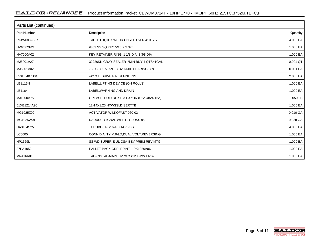| Parts List (continued) |                                             |          |  |  |  |  |  |
|------------------------|---------------------------------------------|----------|--|--|--|--|--|
| <b>Part Number</b>     | <b>Description</b>                          | Quantity |  |  |  |  |  |
| 59XW0832S07            | TAPTITE II, HEX WSHR UNSLTD SER, 410 S.S.,  | 4.000 EA |  |  |  |  |  |
| HW2502F21              | #303 SS, SQ KEY 5/16 X 2.375                | 1.000 EA |  |  |  |  |  |
| HA7000A02              | KEY RETAINER RING, 1 1/8 DIA, 1 3/8 DIA     | 1.000 EA |  |  |  |  |  |
| MJ5001A27              | 32220KN GRAY SEALER *MIN BUY 4 QTS=1GAL     | 0.001 QT |  |  |  |  |  |
| MJ5001A02              | 732 CL SEALANT 3 OZ DIXIE BEARING 289100    | 0.001 EA |  |  |  |  |  |
| 85XU0407S04            | 4X1/4 U DRIVE PIN STAINLESS                 | 2.000 EA |  |  |  |  |  |
| <b>LB1115N</b>         | LABEL, LIFTING DEVICE (ON ROLLS)            | 1.000 EA |  |  |  |  |  |
| LB1164                 | LABEL, WARNING AND DRAIN                    | 1.000 EA |  |  |  |  |  |
| MJ1000A75              | GREASE, POLYREX EM EXXON (USe 4824-15A)     | 0.050 LB |  |  |  |  |  |
| 51XB1214A20            | 12-14X1.25 HXWSSLD SERTYB                   | 1.000 EA |  |  |  |  |  |
| MG1025Z02              | <b>ACTIVATOR WILKOFAST 060-02</b>           | 0.010 GA |  |  |  |  |  |
| MG1025W01              | RAL9003, SIGNAL WHITE, GLOSS 85             | 0.028 GA |  |  |  |  |  |
| HA3104S25              | THRUBOLT-5/16-18X14.75 SS                   | 4.000 EA |  |  |  |  |  |
| LC0005                 | CONN.DIA., TY M, 9-LD, DUAL VOLT, REVERSING | 1.000 EA |  |  |  |  |  |
| NP1669L                | SS WD SUPER-E UL CSA-EEV PREM REV MTG       | 1.000 EA |  |  |  |  |  |
| 37PA1052               | PALLET PACK GRP, PRINT PK1026A06            | 1.000 EA |  |  |  |  |  |
| MN416A01               | TAG-INSTAL-MAINT no wire (1200/bx) 11/14    | 1.000 EA |  |  |  |  |  |

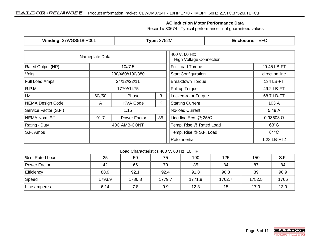#### **AC Induction Motor Performance Data**

Record # 30674 - Typical performance - not guaranteed values

| Winding: 37WGS518-R001           |                            | <b>Type: 3752M</b>      |                                                 | <b>Enclosure: TEFC</b>     |                  |                |  |
|----------------------------------|----------------------------|-------------------------|-------------------------------------------------|----------------------------|------------------|----------------|--|
|                                  | Nameplate Data             |                         | 460 V, 60 Hz:<br><b>High Voltage Connection</b> |                            |                  |                |  |
| <b>Rated Output (HP)</b>         | 10/7.5                     | <b>Full Load Torque</b> |                                                 | 29.45 LB-FT                |                  |                |  |
| <b>Volts</b><br>230/460//190/380 |                            |                         |                                                 | <b>Start Configuration</b> |                  |                |  |
| <b>Full Load Amps</b>            | 24/12//22/11               |                         | <b>Breakdown Torque</b>                         |                            | 134 LB-FT        |                |  |
| R.P.M.                           | 1770//1475                 |                         |                                                 | Pull-up Torque             | 49.2 LB-FT       |                |  |
| Hz                               | 60//50                     | 3<br>Phase              |                                                 | Locked-rotor Torque        |                  | 68.7 LB-FT     |  |
| NEMA Design Code                 | A                          | <b>KVA Code</b>         | K.                                              | <b>Starting Current</b>    |                  | 103 A          |  |
| Service Factor (S.F.)            | 1.15                       |                         |                                                 | No-load Current            |                  | 5.49 A         |  |
| NEMA Nom. Eff.                   | 85<br>91.7<br>Power Factor |                         | Line-line Res. @ 25°C                           |                            | $0.93503 \Omega$ |                |  |
| <b>Rating - Duty</b>             |                            | 40C AMB-CONT            |                                                 | Temp. Rise @ Rated Load    |                  | $63^{\circ}$ C |  |
| S.F. Amps                        |                            |                         |                                                 | Temp. Rise @ S.F. Load     |                  | $81^{\circ}$ C |  |
|                                  |                            |                         |                                                 | Rotor inertia              |                  | 1.28 LB-FT2    |  |

#### Load Characteristics 460 V, 60 Hz, 10 HP

| % of Rated Load | 25     | 50     | 75     | 100    | 125    | 150    | S.F. |
|-----------------|--------|--------|--------|--------|--------|--------|------|
| Power Factor    | 42     | 66     | 79     | 85     | 84     | 87     | 84   |
| Efficiency      | 88.9   | 92.1   | 92.4   | 91.8   | 90.3   | 89     | 90.9 |
| Speed           | 1793.9 | 1786.8 | 1779.7 | 1771.8 | 1762.7 | 1752.5 | 1766 |
| Line amperes    | 6.14   | 7.8    | 9.9    | 12.3   | 15     | 17.9   | 13.9 |

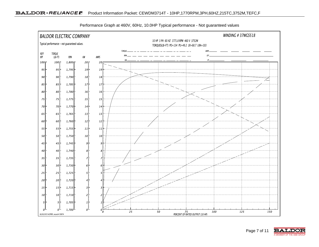



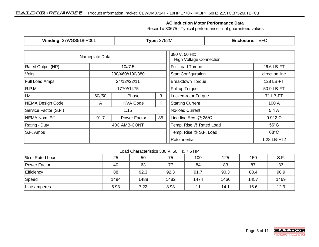#### **AC Induction Motor Performance Data**

Record # 30675 - Typical performance - not guaranteed values

| <b>Winding: 37WGS518-R001</b>         |                            | <b>Type: 3752M</b>      |                                                 | <b>Enclosure: TEFC</b>     |                 |                |  |
|---------------------------------------|----------------------------|-------------------------|-------------------------------------------------|----------------------------|-----------------|----------------|--|
|                                       | Nameplate Data             |                         | 380 V, 50 Hz:<br><b>High Voltage Connection</b> |                            |                 |                |  |
| Rated Output (HP)<br>10/7.5           |                            |                         |                                                 | <b>Full Load Torque</b>    |                 | 26.6 LB-FT     |  |
| <b>Volts</b><br>230/460//190/380      |                            |                         |                                                 | <b>Start Configuration</b> |                 |                |  |
| <b>Full Load Amps</b><br>24/12//22/11 |                            |                         |                                                 | <b>Breakdown Torque</b>    | 128 LB-FT       |                |  |
| R.P.M.                                | 1770//1475                 |                         |                                                 | Pull-up Torque             |                 | 50.9 LB-FT     |  |
| Hz                                    | 60//50                     | 3<br>Phase              |                                                 | Locked-rotor Torque        |                 | 71 LB-FT       |  |
| NEMA Design Code                      | A                          | <b>KVA Code</b>         | K                                               | <b>Starting Current</b>    |                 | 100 A          |  |
| Service Factor (S.F.)                 |                            | 1.15                    |                                                 |                            | No-load Current |                |  |
| NEMA Nom. Eff.                        | 85<br>91.7<br>Power Factor |                         | Line-line Res. @ 25°C                           |                            | $0.912 \Omega$  |                |  |
| Rating - Duty<br>40C AMB-CONT         |                            | Temp. Rise @ Rated Load |                                                 | $56^{\circ}$ C             |                 |                |  |
| S.F. Amps                             |                            |                         |                                                 | Temp. Rise @ S.F. Load     |                 | $68^{\circ}$ C |  |
|                                       |                            |                         |                                                 |                            |                 | 1.28 LB-FT2    |  |

#### Load Characteristics 380 V, 50 Hz, 7.5 HP

| % of Rated Load     | 25   | 50   | 75   | 100  | 125  | 150  | S.F. |
|---------------------|------|------|------|------|------|------|------|
| <b>Power Factor</b> | 40   | 63   | 77   | 84   | 83   | 87   | 83   |
| <b>Efficiency</b>   | 88   | 92.3 | 92.3 | 91.7 | 90.3 | 88.4 | 90.9 |
| Speed               | 1494 | 1488 | 1482 | 1474 | 1466 | 1457 | 1469 |
| Line amperes        | 5.93 | 7.22 | 8.93 | 11   | 14.1 | 16.6 | 12.9 |

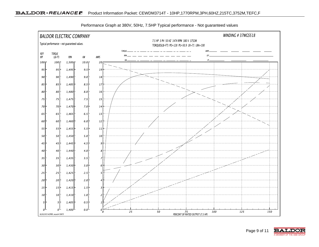

Performance Graph at 380V, 50Hz, 7.5HP Typical performance - Not guaranteed values

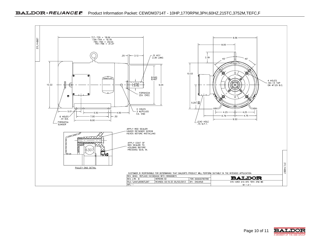